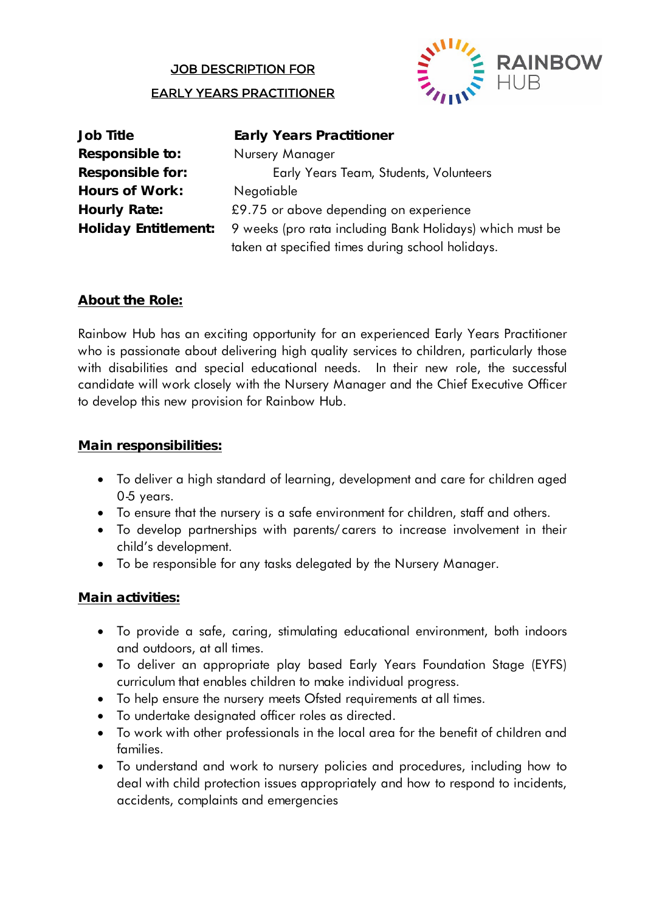#### JOB DESCRIPTION FOR

#### EARLY YEARS PRACTITIONER



| <b>Job Title</b>           |
|----------------------------|
| <b>Responsible to:</b>     |
| <b>Responsible for:</b>    |
| <b>Hours of Work:</b>      |
| <b>Hourly Rate:</b>        |
| <b>Holiday Entitlement</b> |
|                            |

**Early Years Practitioner Responsible to:** Nursery Manager **Responsible for:** Early Years Team, Students, Volunteers **Hours of Work:** Negotiable £9.75 or above depending on experience **Holiday Entitlement:** 9 weeks (pro rata including Bank Holidays) which must be taken at specified times during school holidays.

## **About the Role:**

Rainbow Hub has an exciting opportunity for an experienced Early Years Practitioner who is passionate about delivering high quality services to children, particularly those with disabilities and special educational needs. In their new role, the successful candidate will work closely with the Nursery Manager and the Chief Executive Officer to develop this new provision for Rainbow Hub.

### **Main responsibilities:**

- To deliver a high standard of learning, development and care for children aged 0-5 years.
- To ensure that the nursery is a safe environment for children, staff and others.
- To develop partnerships with parents/ carers to increase involvement in their child's development.
- To be responsible for any tasks delegated by the Nursery Manager.

### **Main activities:**

- To provide a safe, caring, stimulating educational environment, both indoors and outdoors, at all times.
- To deliver an appropriate play based Early Years Foundation Stage (EYFS) curriculum that enables children to make individual progress.
- To help ensure the nursery meets Ofsted requirements at all times.
- To undertake designated officer roles as directed.
- To work with other professionals in the local area for the benefit of children and families.
- To understand and work to nursery policies and procedures, including how to deal with child protection issues appropriately and how to respond to incidents, accidents, complaints and emergencies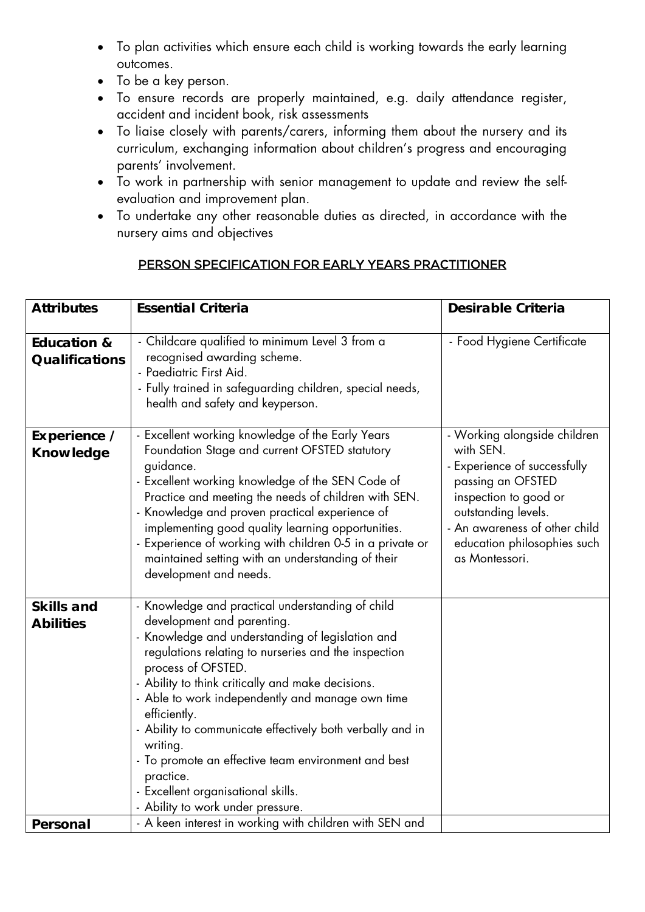- To plan activities which ensure each child is working towards the early learning outcomes.
- To be a key person.
- To ensure records are properly maintained, e.g. daily attendance register, accident and incident book, risk assessments
- To liaise closely with parents/carers, informing them about the nursery and its curriculum, exchanging information about children's progress and encouraging parents' involvement.
- To work in partnership with senior management to update and review the selfevaluation and improvement plan.
- To undertake any other reasonable duties as directed, in accordance with the nursery aims and objectives

# PERSON SPECIFICATION FOR EARLY YEARS PRACTITIONER

| <b>Attributes</b>                               | <b>Essential Criteria</b>                                                                                                                                                                                                                                                                                                                                                                                                                                                                                                                                         | <b>Desirable Criteria</b>                                                                                                                                                                                                        |
|-------------------------------------------------|-------------------------------------------------------------------------------------------------------------------------------------------------------------------------------------------------------------------------------------------------------------------------------------------------------------------------------------------------------------------------------------------------------------------------------------------------------------------------------------------------------------------------------------------------------------------|----------------------------------------------------------------------------------------------------------------------------------------------------------------------------------------------------------------------------------|
| <b>Education &amp;</b><br><b>Qualifications</b> | - Childcare qualified to minimum Level 3 from a<br>recognised awarding scheme.<br>- Paediatric First Aid.<br>- Fully trained in safeguarding children, special needs,<br>health and safety and keyperson.                                                                                                                                                                                                                                                                                                                                                         | - Food Hygiene Certificate                                                                                                                                                                                                       |
| Experience /<br><b>Knowledge</b>                | - Excellent working knowledge of the Early Years<br>Foundation Stage and current OFSTED statutory<br>guidance.<br>- Excellent working knowledge of the SEN Code of<br>Practice and meeting the needs of children with SEN.<br>- Knowledge and proven practical experience of<br>implementing good quality learning opportunities.<br>- Experience of working with children 0-5 in a private or<br>maintained setting with an understanding of their<br>development and needs.                                                                                     | - Working alongside children<br>with SEN.<br>- Experience of successfully<br>passing an OFSTED<br>inspection to good or<br>outstanding levels.<br>- An awareness of other child<br>education philosophies such<br>as Montessori. |
| <b>Skills and</b><br><b>Abilities</b>           | - Knowledge and practical understanding of child<br>development and parenting.<br>- Knowledge and understanding of legislation and<br>regulations relating to nurseries and the inspection<br>process of OFSTED.<br>- Ability to think critically and make decisions.<br>- Able to work independently and manage own time<br>efficiently.<br>- Ability to communicate effectively both verbally and in<br>writing.<br>- To promote an effective team environment and best<br>practice.<br>- Excellent organisational skills.<br>- Ability to work under pressure. |                                                                                                                                                                                                                                  |
| <b>Personal</b>                                 | - A keen interest in working with children with SEN and                                                                                                                                                                                                                                                                                                                                                                                                                                                                                                           |                                                                                                                                                                                                                                  |